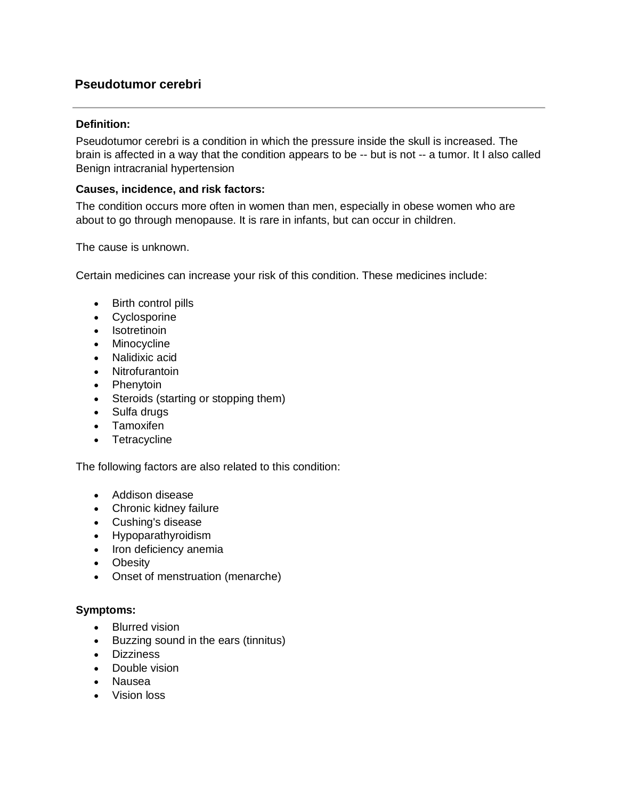# **Pseudotumor cerebri**

#### **Definition:**

Pseudotumor cerebri is a condition in which the pressure inside the skull is increased. The brain is affected in a way that the condition appears to be -- but is not -- a tumor. It I also called Benign intracranial hypertension

### **Causes, incidence, and risk factors:**

The condition occurs more often in women than men, especially in obese women who are about to go through menopause. It is rare in infants, but can occur in children.

The cause is unknown.

Certain medicines can increase your risk of this condition. These medicines include:

- Birth control pills
- Cyclosporine
- Isotretinoin
- Minocycline
- Nalidixic acid
- Nitrofurantoin
- Phenytoin
- Steroids (starting or stopping them)
- Sulfa drugs
- Tamoxifen
- Tetracycline

The following factors are also related to this condition:

- [Addison disease](http://www.pennmedicine.org/encyclopedia/em_DisplayArticle.aspx?gcid=000378&ptid=1)
- [Chronic kidney failure](http://www.pennmedicine.org/encyclopedia/em_DisplayArticle.aspx?gcid=000471&ptid=1)
- [Cushing's disease](http://www.pennmedicine.org/encyclopedia/em_DisplayArticle.aspx?gcid=000348&ptid=1)
- [Hypoparathyroidism](http://www.pennmedicine.org/encyclopedia/em_DisplayArticle.aspx?gcid=000385&ptid=1)
- Iron deficiency anemia
- Obesity
- Onset of menstruation (menarche)

## **Symptoms:**

- Blurred vision
- Buzzing sound in the ears (tinnitus)
- Dizziness
- [Double vision](http://www.pennmedicine.org/encyclopedia/em_DisplayArticle.aspx?gcid=003029&ptid=1)
- Nausea
- Vision loss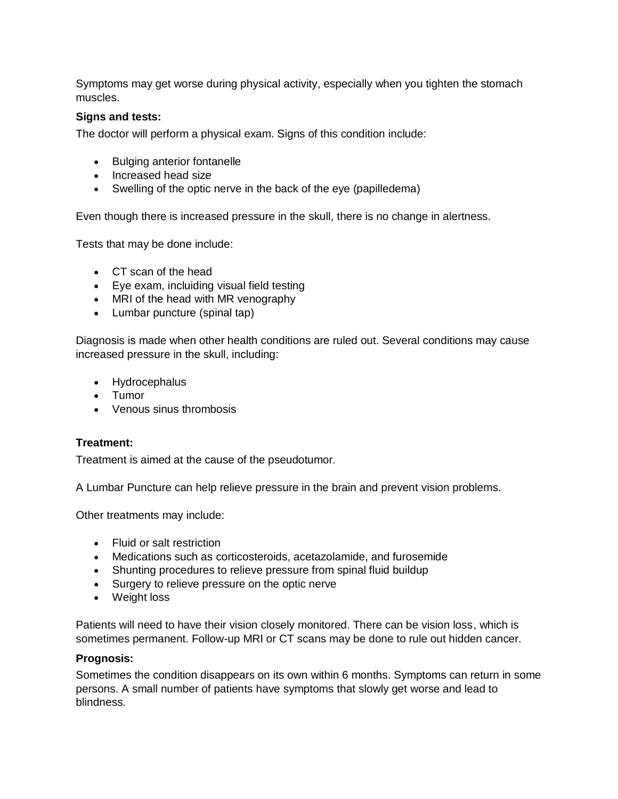Symptoms may get worse during physical activity, especially when you tighten the stomach muscles.

#### **Signs and tests:**

The doctor will perform a physical exam. Signs of this condition include:

- [Bulging anterior fontanelle](http://www.pennmedicine.org/encyclopedia/em_DisplayArticle.aspx?gcid=003310&ptid=1)
- Increased head size
- Swelling of the optic nerve in the back of the eye (papilledema)

Even though there is increased pressure in the skull, there is no change in alertness.

Tests that may be done include:

- [CT scan of the head](http://www.pennmedicine.org/encyclopedia/em_DisplayArticle.aspx?gcid=003786&ptid=1)
- Eye exam, incluiding [visual field](http://www.pennmedicine.org/encyclopedia/em_DisplayArticle.aspx?gcid=003879&ptid=1) testing
- [MRI of the head](http://www.pennmedicine.org/encyclopedia/em_DisplayArticle.aspx?gcid=003791&ptid=1) with MR venography
- [Lumbar puncture](http://www.pennmedicine.org/encyclopedia/em_DisplayArticle.aspx?gcid=003428&ptid=1) (spinal tap)

Diagnosis is made when other health conditions are ruled out. Several conditions may cause increased pressure in the skull, including:

- [Hydrocephalus](http://www.pennmedicine.org/encyclopedia/em_DisplayArticle.aspx?gcid=001571&ptid=1)
- Tumor
- Venous sinus thrombosis

#### **Treatment:**

Treatment is aimed at the cause of the pseudotumor.

A Lumbar Puncture can help relieve pressure in the brain and prevent vision problems.

Other treatments may include:

- Fluid or salt restriction
- Medications such as corticosteroids, acetazolamide, and furosemide
- Shunting procedures to relieve pressure from spinal fluid buildup
- Surgery to relieve pressure on the optic nerve
- Weight loss

Patients will need to have their vision closely monitored. There can be vision loss, which is sometimes permanent. Follow-up MRI or CT scans may be done to rule out hidden cancer.

#### **Prognosis:**

Sometimes the condition disappears on its own within 6 months. Symptoms can return in some persons. A small number of patients have symptoms that slowly get worse and lead to blindness.